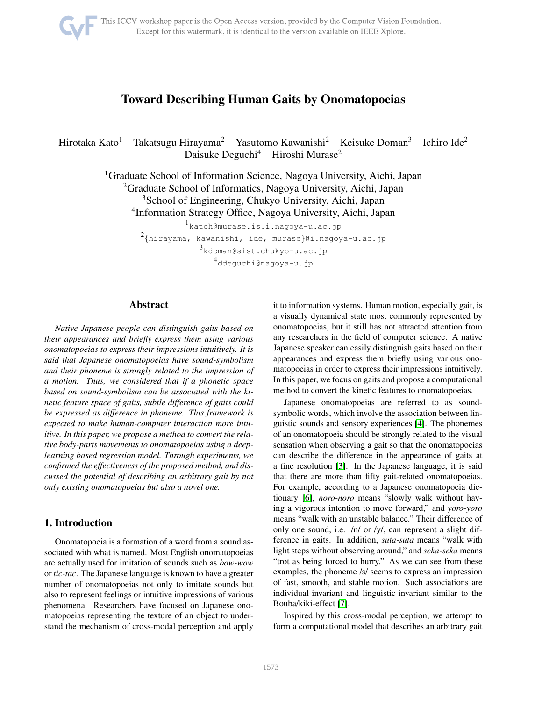

This ICCV workshop paper is the Open Access version, provided by the Computer Vision Foundation. Except for this watermark, it is identical to the version available on IEEE Xplore.

# Toward Describing Human Gaits by Onomatopoeias

Hirotaka Kato<sup>1</sup> Takatsugu Hirayama<sup>2</sup> Yasutomo Kawanishi<sup>2</sup> Keisuke Doman<sup>3</sup> Ichiro Ide<sup>2</sup> Daisuke Deguchi<sup>4</sup> Hiroshi Murase<sup>2</sup>

> <sup>1</sup>Graduate School of Information Science, Nagoya University, Aichi, Japan <sup>2</sup>Graduate School of Informatics, Nagoya University, Aichi, Japan

<sup>3</sup>School of Engineering, Chukyo University, Aichi, Japan

4 Information Strategy Office, Nagoya University, Aichi, Japan

1 katoh@murase.is.i.nagoya-u.ac.jp  $^{2}\{$ hirayama, kawanishi, ide, murase $\}$ @i.nagoya-u.ac.jp  $^3$ kdoman@sist.chukyo-u.ac.jp 4 ddeguchi@nagoya-u.jp

# Abstract

*Native Japanese people can distinguish gaits based on their appearances and briefly express them using various onomatopoeias to express their impressions intuitively. It is said that Japanese onomatopoeias have sound-symbolism and their phoneme is strongly related to the impression of a motion. Thus, we considered that if a phonetic space based on sound-symbolism can be associated with the kinetic feature space of gaits, subtle difference of gaits could be expressed as difference in phoneme. This framework is expected to make human-computer interaction more intuitive. In this paper, we propose a method to convert the relative body-parts movements to onomatopoeias using a deeplearning based regression model. Through experiments, we confirmed the effectiveness of the proposed method, and discussed the potential of describing an arbitrary gait by not only existing onomatopoeias but also a novel one.*

# <span id="page-0-0"></span>1. Introduction

Onomatopoeia is a formation of a word from a sound associated with what is named. Most English onomatopoeias are actually used for imitation of sounds such as *bow-wow* or *tic-tac*. The Japanese language is known to have a greater number of onomatopoeias not only to imitate sounds but also to represent feelings or intuitive impressions of various phenomena. Researchers have focused on Japanese onomatopoeias representing the texture of an object to understand the mechanism of cross-modal perception and apply it to information systems. Human motion, especially gait, is a visually dynamical state most commonly represented by onomatopoeias, but it still has not attracted attention from any researchers in the field of computer science. A native Japanese speaker can easily distinguish gaits based on their appearances and express them briefly using various onomatopoeias in order to express their impressions intuitively. In this paper, we focus on gaits and propose a computational method to convert the kinetic features to onomatopoeias.

Japanese onomatopoeias are referred to as soundsymbolic words, which involve the association between linguistic sounds and sensory experiences [\[4\]](#page-7-0). The phonemes of an onomatopoeia should be strongly related to the visual sensation when observing a gait so that the onomatopoeias can describe the difference in the appearance of gaits at a fine resolution [\[3\]](#page-7-1). In the Japanese language, it is said that there are more than fifty gait-related onomatopoeias. For example, according to a Japanese onomatopoeia dictionary [\[6\]](#page-7-2), *noro-noro* means "slowly walk without having a vigorous intention to move forward," and *yoro-yoro* means "walk with an unstable balance." Their difference of only one sound, i.e. /n/ or /y/, can represent a slight difference in gaits. In addition, *suta-suta* means "walk with light steps without observing around," and *seka-seka* means "trot as being forced to hurry." As we can see from these examples, the phoneme /s/ seems to express an impression of fast, smooth, and stable motion. Such associations are individual-invariant and linguistic-invariant similar to the Bouba/kiki-effect [\[7\]](#page-7-3).

Inspired by this cross-modal perception, we attempt to form a computational model that describes an arbitrary gait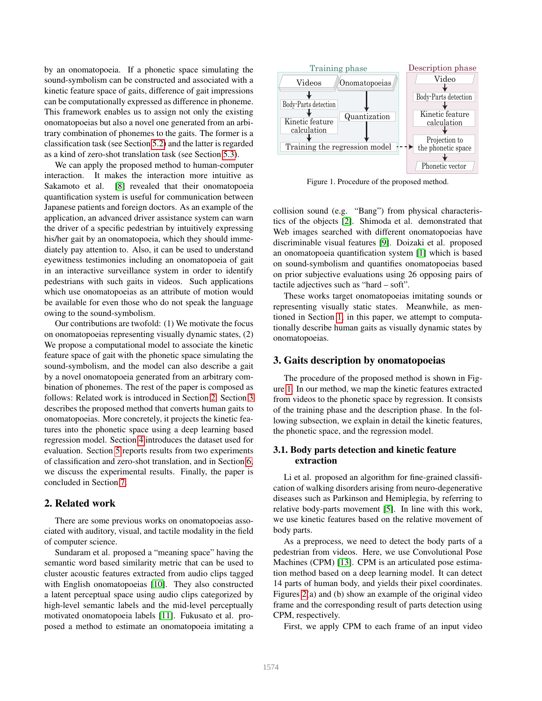by an onomatopoeia. If a phonetic space simulating the sound-symbolism can be constructed and associated with a kinetic feature space of gaits, difference of gait impressions can be computationally expressed as difference in phoneme. This framework enables us to assign not only the existing onomatopoeias but also a novel one generated from an arbitrary combination of phonemes to the gaits. The former is a classification task (see Section [5.2\)](#page-5-0) and the latter is regarded as a kind of zero-shot translation task (see Section [5.3\)](#page-5-1).

We can apply the proposed method to human-computer interaction. It makes the interaction more intuitive as Sakamoto et al. [\[8\]](#page-7-4) revealed that their onomatopoeia quantification system is useful for communication between Japanese patients and foreign doctors. As an example of the application, an advanced driver assistance system can warn the driver of a specific pedestrian by intuitively expressing his/her gait by an onomatopoeia, which they should immediately pay attention to. Also, it can be used to understand eyewitness testimonies including an onomatopoeia of gait in an interactive surveillance system in order to identify pedestrians with such gaits in videos. Such applications which use onomatopoeias as an attribute of motion would be available for even those who do not speak the language owing to the sound-symbolism.

Our contributions are twofold: (1) We motivate the focus on onomatopoeias representing visually dynamic states, (2) We propose a computational model to associate the kinetic feature space of gait with the phonetic space simulating the sound-symbolism, and the model can also describe a gait by a novel onomatopoeia generated from an arbitrary combination of phonemes. The rest of the paper is composed as follows: Related work is introduced in Section [2.](#page-1-0) Section [3](#page-1-1) describes the proposed method that converts human gaits to onomatopoeias. More concretely, it projects the kinetic features into the phonetic space using a deep learning based regression model. Section [4](#page-3-0) introduces the dataset used for evaluation. Section [5](#page-4-0) reports results from two experiments of classification and zero-shot translation, and in Section [6,](#page-5-2) we discuss the experimental results. Finally, the paper is concluded in Section [7.](#page-6-0)

# <span id="page-1-0"></span>2. Related work

There are some previous works on onomatopoeias associated with auditory, visual, and tactile modality in the field of computer science.

Sundaram et al. proposed a "meaning space" having the semantic word based similarity metric that can be used to cluster acoustic features extracted from audio clips tagged with English onomatopoeias [\[10\]](#page-7-5). They also constructed a latent perceptual space using audio clips categorized by high-level semantic labels and the mid-level perceptually motivated onomatopoeia labels [\[11\]](#page-7-6). Fukusato et al. proposed a method to estimate an onomatopoeia imitating a



<span id="page-1-2"></span>Figure 1. Procedure of the proposed method.

collision sound (e.g. "Bang") from physical characteristics of the objects [\[2\]](#page-7-7). Shimoda et al. demonstrated that Web images searched with different onomatopoeias have discriminable visual features [\[9\]](#page-7-8). Doizaki et al. proposed an onomatopoeia quantification system [\[1\]](#page-7-9) which is based on sound-symbolism and quantifies onomatopoeias based on prior subjective evaluations using 26 opposing pairs of tactile adjectives such as "hard – soft".

These works target onomatopoeias imitating sounds or representing visually static states. Meanwhile, as mentioned in Section [1,](#page-0-0) in this paper, we attempt to computationally describe human gaits as visually dynamic states by onomatopoeias.

### <span id="page-1-1"></span>3. Gaits description by onomatopoeias

The procedure of the proposed method is shown in Figure [1.](#page-1-2) In our method, we map the kinetic features extracted from videos to the phonetic space by regression. It consists of the training phase and the description phase. In the following subsection, we explain in detail the kinetic features, the phonetic space, and the regression model.

### <span id="page-1-3"></span>3.1. Body parts detection and kinetic feature extraction

Li et al. proposed an algorithm for fine-grained classification of walking disorders arising from neuro-degenerative diseases such as Parkinson and Hemiplegia, by referring to relative body-parts movement [\[5\]](#page-7-10). In line with this work, we use kinetic features based on the relative movement of body parts.

As a preprocess, we need to detect the body parts of a pedestrian from videos. Here, we use Convolutional Pose Machines (CPM) [\[13\]](#page-7-11). CPM is an articulated pose estimation method based on a deep learning model. It can detect 14 parts of human body, and yields their pixel coordinates. Figures [2\(](#page-2-0)a) and (b) show an example of the original video frame and the corresponding result of parts detection using CPM, respectively.

First, we apply CPM to each frame of an input video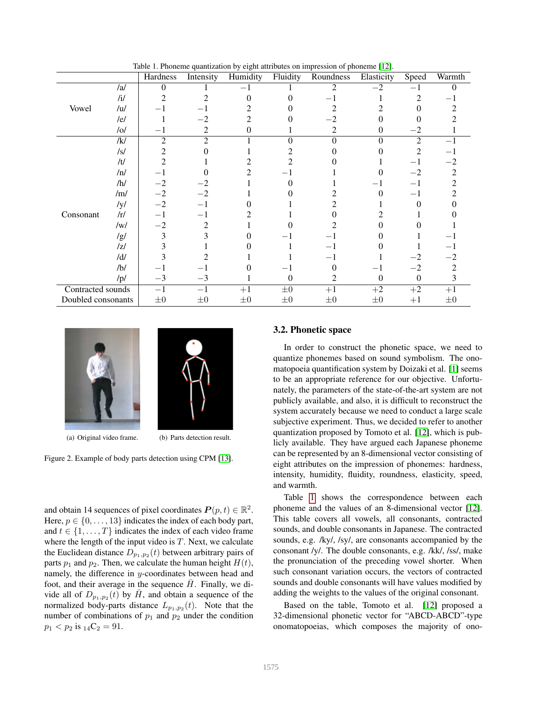|                    |                | Hardness       | Intensity      | Humidity | Fluidity | Roundness | Elasticity | Speed          | Warmth  |
|--------------------|----------------|----------------|----------------|----------|----------|-----------|------------|----------------|---------|
|                    | /al            | $\theta$       |                |          |          | 2         | $-2$       |                | 0       |
|                    | /1/            | 2              |                | 0        |          |           |            | 2              | -1      |
| Vowel              | / <sub>u</sub> |                |                |          |          |           |            |                |         |
|                    | /el            |                | $-2$           |          |          |           |            |                |         |
|                    | /o/            | — 1            | $\overline{c}$ | $\Omega$ |          | 2         | $\theta$   | $-2$           |         |
|                    | /k/            | $\overline{2}$ | $\overline{c}$ |          | $\theta$ | $\Omega$  | $\Omega$   | $\overline{2}$ | $-1$    |
|                    | $\sqrt{s}$     | 2              |                |          |          |           |            | 2              | $-1$    |
|                    | /t/            |                |                |          |          |           |            |                | $-2$    |
|                    | /n/            |                |                |          |          |           |            | $-2$           | 2       |
|                    | /h/            | $-2$           |                |          |          |           |            | -1             | 2       |
|                    | /m/            | $-2$           | $-2$           |          |          |           | 0          | $-1$           |         |
|                    | /y/            | $-2$           | $-1$           |          |          |           |            | $\Omega$       |         |
| Consonant          | /r/            | $-1$           | $-1$           |          |          |           |            |                |         |
|                    | /w/            | $^{-2}$        | 2              |          |          |           |            |                |         |
|                    | /g/            | 3              | 3              |          |          |           |            |                |         |
|                    | z              |                |                |          |          |           |            |                | $-1$    |
|                    | $/d/$          |                |                |          |          |           |            |                | $-2$    |
|                    | /b/            |                | — I            |          |          |           | $-1$       | $-2$           | 2       |
|                    | /p/            | $-3$           | $-3$           |          | 0        | 2         | $\Omega$   | $\Omega$       | 3       |
| Contracted sounds  |                | $-1$           | $-1$           | $+1$     | $\pm 0$  | $+1$      | $+2$       | $+2$           | $+1$    |
| Doubled consonants |                | $\pm 0$        | $\pm 0$        | $\pm 0$  | $\pm 0$  | $\pm 0$   | $\pm 0$    | $+1$           | $\pm 0$ |

<span id="page-2-1"></span>Table 1. Phoneme quantization by eight attributes on impression of phoneme [\[12\]](#page-7-12).



<span id="page-2-0"></span>

(a) Original video frame. (b) Parts detection result.

Figure 2. Example of body parts detection using CPM [\[13\]](#page-7-11).

and obtain 14 sequences of pixel coordinates  $P(p, t) \in \mathbb{R}^2$ . Here,  $p \in \{0, \ldots, 13\}$  indicates the index of each body part, and  $t \in \{1, \ldots, T\}$  indicates the index of each video frame where the length of the input video is  $T$ . Next, we calculate the Euclidean distance  $D_{p_1,p_2}(t)$  between arbitrary pairs of parts  $p_1$  and  $p_2$ . Then, we calculate the human height  $H(t)$ , namely, the difference in y-coordinates between head and foot, and their average in the sequence  $\bar{H}$ . Finally, we divide all of  $D_{p_1,p_2}(t)$  by  $\bar{H}$ , and obtain a sequence of the normalized body-parts distance  $L_{p_1,p_2}(t)$ . Note that the number of combinations of  $p_1$  and  $p_2$  under the condition  $p_1 < p_2$  is  $_{14}C_2 = 91$ .

### 3.2. Phonetic space

In order to construct the phonetic space, we need to quantize phonemes based on sound symbolism. The onomatopoeia quantification system by Doizaki et al. [\[1\]](#page-7-9) seems to be an appropriate reference for our objective. Unfortunately, the parameters of the state-of-the-art system are not publicly available, and also, it is difficult to reconstruct the system accurately because we need to conduct a large scale subjective experiment. Thus, we decided to refer to another quantization proposed by Tomoto et al. [\[12\]](#page-7-12), which is publicly available. They have argued each Japanese phoneme can be represented by an 8-dimensional vector consisting of eight attributes on the impression of phonemes: hardness, intensity, humidity, fluidity, roundness, elasticity, speed, and warmth.

Table [1](#page-2-1) shows the correspondence between each phoneme and the values of an 8-dimensional vector [\[12\]](#page-7-12). This table covers all vowels, all consonants, contracted sounds, and double consonants in Japanese. The contracted sounds, e.g. /ky/, /sy/, are consonants accompanied by the consonant /y/. The double consonants, e.g. /kk/, /ss/, make the pronunciation of the preceding vowel shorter. When such consonant variation occurs, the vectors of contracted sounds and double consonants will have values modified by adding the weights to the values of the original consonant.

Based on the table, Tomoto et al. [\[12\]](#page-7-12) proposed a 32-dimensional phonetic vector for "ABCD-ABCD"-type onomatopoeias, which composes the majority of ono-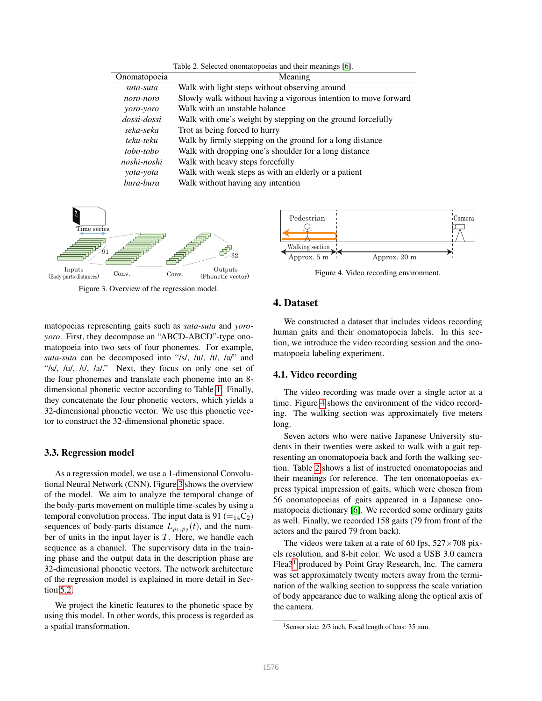<span id="page-3-3"></span>

| Table 2. Selected onomatopoeias and their meanings [6].                      |                                                           |  |  |  |  |
|------------------------------------------------------------------------------|-----------------------------------------------------------|--|--|--|--|
| Onomatopoeia                                                                 | Meaning                                                   |  |  |  |  |
| suta-suta                                                                    | Walk with light steps without observing around            |  |  |  |  |
| Slowly walk without having a vigorous intention to move forward<br>noro-noro |                                                           |  |  |  |  |
| Walk with an unstable balance<br>yoro-yoro                                   |                                                           |  |  |  |  |
| dossi-dossi<br>Walk with one's weight by stepping on the ground forcefully   |                                                           |  |  |  |  |
| Trot as being forced to hurry<br>seka-seka                                   |                                                           |  |  |  |  |
| teku-teku                                                                    | Walk by firmly stepping on the ground for a long distance |  |  |  |  |
| Walk with dropping one's shoulder for a long distance<br>tobo-tobo           |                                                           |  |  |  |  |
| noshi-noshi                                                                  | Walk with heavy steps forcefully                          |  |  |  |  |
| yota-yota                                                                    | Walk with weak steps as with an elderly or a patient      |  |  |  |  |
| bura-bura                                                                    | Walk without having any intention                         |  |  |  |  |



<span id="page-3-1"></span>Figure 3. Overview of the regression model.

matopoeias representing gaits such as *suta-suta* and *yoroyoro*. First, they decompose an "ABCD-ABCD"-type onomatopoeia into two sets of four phonemes. For example, *suta-suta* can be decomposed into "/s/, /u/, /t/, /a/" and "/s/, /u/, /t/, /a/." Next, they focus on only one set of the four phonemes and translate each phoneme into an 8 dimensional phonetic vector according to Table [1.](#page-2-1) Finally, they concatenate the four phonetic vectors, which yields a 32-dimensional phonetic vector. We use this phonetic vector to construct the 32-dimensional phonetic space.

#### 3.3. Regression model

As a regression model, we use a 1-dimensional Convolutional Neural Network (CNN). Figure [3](#page-3-1) shows the overview of the model. We aim to analyze the temporal change of the body-parts movement on multiple time-scales by using a temporal convolution process. The input data is 91  $(=_{14}C_2)$ sequences of body-parts distance  $L_{p_1,p_2}(t)$ , and the number of units in the input layer is  $T$ . Here, we handle each sequence as a channel. The supervisory data in the training phase and the output data in the description phase are 32-dimensional phonetic vectors. The network architecture of the regression model is explained in more detail in Section [5.2.](#page-5-0)

We project the kinetic features to the phonetic space by using this model. In other words, this process is regarded as a spatial transformation.



<span id="page-3-2"></span>Figure 4. Video recording environment.

# <span id="page-3-0"></span>4. Dataset

We constructed a dataset that includes videos recording human gaits and their onomatopoeia labels. In this section, we introduce the video recording session and the onomatopoeia labeling experiment.

#### 4.1. Video recording

The video recording was made over a single actor at a time. Figure [4](#page-3-2) shows the environment of the video recording. The walking section was approximately five meters long.

Seven actors who were native Japanese University students in their twenties were asked to walk with a gait representing an onomatopoeia back and forth the walking section. Table [2](#page-3-3) shows a list of instructed onomatopoeias and their meanings for reference. The ten onomatopoeias express typical impression of gaits, which were chosen from 56 onomatopoeias of gaits appeared in a Japanese onomatopoeia dictionary [\[6\]](#page-7-2). We recorded some ordinary gaits as well. Finally, we recorded 158 gaits (79 from front of the actors and the paired 79 from back).

The videos were taken at a rate of 60 fps,  $527 \times 708$  pixels resolution, and 8-bit color. We used a USB 3.0 camera Flea3[1](#page-3-4) produced by Point Gray Research, Inc. The camera was set approximately twenty meters away from the termination of the walking section to suppress the scale variation of body appearance due to walking along the optical axis of the camera.

<span id="page-3-4"></span><sup>&</sup>lt;sup>1</sup>Sensor size: 2/3 inch, Focal length of lens: 35 mm.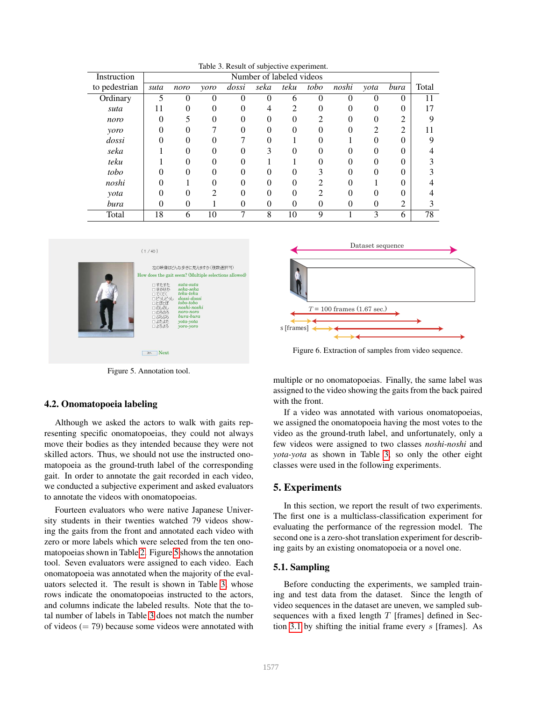| rable 5. Kesult of subjective experiment. |      |                          |                |       |          |          |          |          |                |                |       |
|-------------------------------------------|------|--------------------------|----------------|-------|----------|----------|----------|----------|----------------|----------------|-------|
| Instruction                               |      | Number of labeled videos |                |       |          |          |          |          |                |                |       |
| to pedestrian                             | suta | noro                     | yoro           | dossi | seka     | teku     | tobo     | noshi    | yota           | bura           | Total |
| Ordinary                                  |      | 0                        |                |       |          | 6        | 0        | 0        | 0              | 0              | 11    |
| suta                                      | 11   | 0                        | 0              | 0     | 4        | 2        | 0        | $\theta$ | $\Omega$       | $_{0}$         | 17    |
| noro                                      | 0    | 5                        | 0              | 0     | $\Omega$ | 0        | 2        | 0        | $\Omega$       | 2              | Q     |
| yoro                                      |      |                          |                |       |          | 0        | 0        | 0        | $\overline{c}$ | $\overline{2}$ |       |
| dossi                                     | 0    | 0                        |                |       | 0        |          | 0        |          | 0              | 0              |       |
| seka                                      |      | 0                        |                |       | 3        | 0        | 0        | O        |                | 0              |       |
| teku                                      |      | 0                        | 0              | 0     |          |          | 0        | $\Omega$ | 0              | 0              |       |
| tobo                                      |      | 0                        | 0              |       |          | 0        | 3        | 0        | $\Omega$       | 0              |       |
| noshi                                     |      |                          | 0              |       |          | 0        | ↑        |          |                | 0              |       |
| yota                                      | 0    | 0                        | $\mathfrak{D}$ | 0     | $\Omega$ | 0        | 2        | 0        | 0              | 0              |       |
| bura                                      | 0    | 0                        |                | 0     | $\theta$ | $\theta$ | $\theta$ | 0        | $\theta$       | 2              |       |
| Total                                     | 18   | 6                        | 10             | 7     | 8        | 10       | 9        |          | 3              | 6              | 78    |

<span id="page-4-2"></span>



<span id="page-4-1"></span>Figure 5. Annotation tool.

#### 4.2. Onomatopoeia labeling

Although we asked the actors to walk with gaits representing specific onomatopoeias, they could not always move their bodies as they intended because they were not skilled actors. Thus, we should not use the instructed onomatopoeia as the ground-truth label of the corresponding gait. In order to annotate the gait recorded in each video, we conducted a subjective experiment and asked evaluators to annotate the videos with onomatopoeias.

Fourteen evaluators who were native Japanese University students in their twenties watched 79 videos showing the gaits from the front and annotated each video with zero or more labels which were selected from the ten onomatopoeias shown in Table [2.](#page-3-3) Figure [5](#page-4-1) shows the annotation tool. Seven evaluators were assigned to each video. Each onomatopoeia was annotated when the majority of the evaluators selected it. The result is shown in Table [3,](#page-4-2) whose rows indicate the onomatopoeias instructed to the actors, and columns indicate the labeled results. Note that the total number of labels in Table [3](#page-4-2) does not match the number of videos  $(= 79)$  because some videos were annotated with



<span id="page-4-3"></span>Figure 6. Extraction of samples from video sequence.

multiple or no onomatopoeias. Finally, the same label was assigned to the video showing the gaits from the back paired with the front.

If a video was annotated with various onomatopoeias, we assigned the onomatopoeia having the most votes to the video as the ground-truth label, and unfortunately, only a few videos were assigned to two classes *noshi-noshi* and *yota-yota* as shown in Table [3,](#page-4-2) so only the other eight classes were used in the following experiments.

### <span id="page-4-0"></span>5. Experiments

In this section, we report the result of two experiments. The first one is a multiclass-classification experiment for evaluating the performance of the regression model. The second one is a zero-shot translation experiment for describing gaits by an existing onomatopoeia or a novel one.

### 5.1. Sampling

Before conducting the experiments, we sampled training and test data from the dataset. Since the length of video sequences in the dataset are uneven, we sampled subsequences with a fixed length  $T$  [frames] defined in Section [3.1](#page-1-3) by shifting the initial frame every s [frames]. As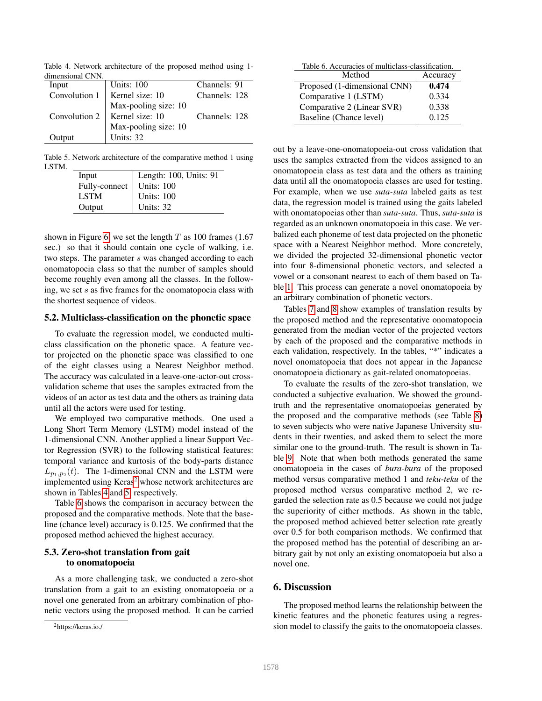<span id="page-5-4"></span>Table 4. Network architecture of the proposed method using 1 dimensional CNN.

| Input  | <b>Units: 100</b>                    | Channels: 91  |
|--------|--------------------------------------|---------------|
|        | Convolution $1 \mid$ Kernel size: 10 | Channels: 128 |
|        | Max-pooling size: 10                 |               |
|        | Convolution 2   Kernel size: 10      | Channels: 128 |
|        | Max-pooling size: 10                 |               |
| Output | Units: 32                            |               |

Table 5. Network architecture of the comparative method 1 using LSTM.

<span id="page-5-5"></span>

| Input         | Length: 100, Units: 91 |
|---------------|------------------------|
| Fully-connect | Units: 100             |
| LSTM          | Units: 100             |
| Output        | Units: 32              |

shown in Figure [6,](#page-4-3) we set the length  $T$  as 100 frames (1.67) sec.) so that it should contain one cycle of walking, i.e. two steps. The parameter s was changed according to each onomatopoeia class so that the number of samples should become roughly even among all the classes. In the following, we set s as five frames for the onomatopoeia class with the shortest sequence of videos.

#### <span id="page-5-0"></span>5.2. Multiclass-classification on the phonetic space

To evaluate the regression model, we conducted multiclass classification on the phonetic space. A feature vector projected on the phonetic space was classified to one of the eight classes using a Nearest Neighbor method. The accuracy was calculated in a leave-one-actor-out crossvalidation scheme that uses the samples extracted from the videos of an actor as test data and the others as training data until all the actors were used for testing.

We employed two comparative methods. One used a Long Short Term Memory (LSTM) model instead of the 1-dimensional CNN. Another applied a linear Support Vector Regression (SVR) to the following statistical features: temporal variance and kurtosis of the body-parts distance  $L_{p_1,p_2}(t)$ . The 1-dimensional CNN and the LSTM were implemented using Keras<sup>[2](#page-5-3)</sup> whose network architectures are shown in Tables [4](#page-5-4) and [5,](#page-5-5) respectively.

Table [6](#page-5-6) shows the comparison in accuracy between the proposed and the comparative methods. Note that the baseline (chance level) accuracy is 0.125. We confirmed that the proposed method achieved the highest accuracy.

# <span id="page-5-1"></span>5.3. Zero-shot translation from gait to onomatopoeia

As a more challenging task, we conducted a zero-shot translation from a gait to an existing onomatopoeia or a novel one generated from an arbitrary combination of phonetic vectors using the proposed method. It can be carried

<span id="page-5-6"></span>

| Table 6. Accuracies of multiclass-classification. |                  |
|---------------------------------------------------|------------------|
| Method                                            | $\vert$ Accuracy |

| IVIULINAI                    | $A$ ccuracy |
|------------------------------|-------------|
| Proposed (1-dimensional CNN) | 0.474       |
| Comparative 1 (LSTM)         | 0.334       |
| Comparative 2 (Linear SVR)   | 0.338       |
| Baseline (Chance level)      | 0.125       |

out by a leave-one-onomatopoeia-out cross validation that uses the samples extracted from the videos assigned to an onomatopoeia class as test data and the others as training data until all the onomatopoeia classes are used for testing. For example, when we use *suta-suta* labeled gaits as test data, the regression model is trained using the gaits labeled with onomatopoeias other than *suta-suta*. Thus, *suta-suta* is regarded as an unknown onomatopoeia in this case. We verbalized each phoneme of test data projected on the phonetic space with a Nearest Neighbor method. More concretely, we divided the projected 32-dimensional phonetic vector into four 8-dimensional phonetic vectors, and selected a vowel or a consonant nearest to each of them based on Table [1.](#page-2-1) This process can generate a novel onomatopoeia by an arbitrary combination of phonetic vectors.

Tables [7](#page-6-1) and [8](#page-6-2) show examples of translation results by the proposed method and the representative onomatopoeia generated from the median vector of the projected vectors by each of the proposed and the comparative methods in each validation, respectively. In the tables, "\*" indicates a novel onomatopoeia that does not appear in the Japanese onomatopoeia dictionary as gait-related onomatopoeias.

To evaluate the results of the zero-shot translation, we conducted a subjective evaluation. We showed the groundtruth and the representative onomatopoeias generated by the proposed and the comparative methods (see Table [8\)](#page-6-2) to seven subjects who were native Japanese University students in their twenties, and asked them to select the more similar one to the ground-truth. The result is shown in Table [9.](#page-6-3) Note that when both methods generated the same onomatopoeia in the cases of *bura-bura* of the proposed method versus comparative method 1 and *teku-teku* of the proposed method versus comparative method 2, we regarded the selection rate as 0.5 because we could not judge the superiority of either methods. As shown in the table, the proposed method achieved better selection rate greatly over 0.5 for both comparison methods. We confirmed that the proposed method has the potential of describing an arbitrary gait by not only an existing onomatopoeia but also a novel one.

# <span id="page-5-2"></span>6. Discussion

The proposed method learns the relationship between the kinetic features and the phonetic features using a regression model to classify the gaits to the onomatopoeia classes.

<span id="page-5-3"></span><sup>2</sup>https://keras.io./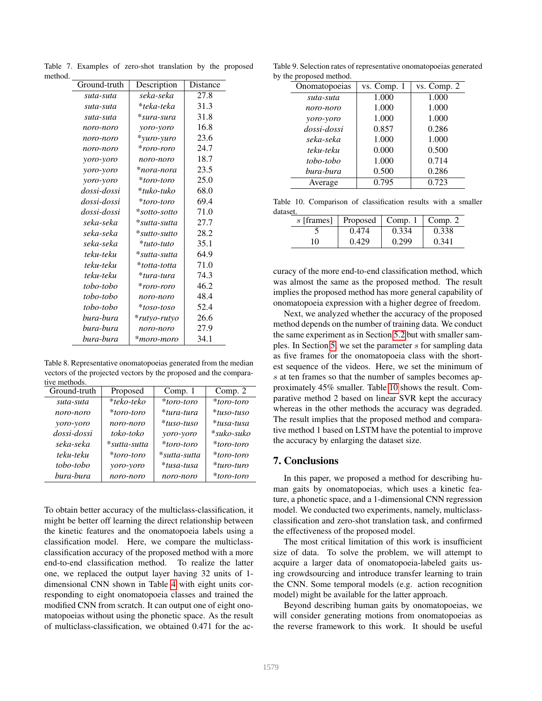<span id="page-6-1"></span>

| ı. |              |                 |          |
|----|--------------|-----------------|----------|
|    | Ground-truth | Description     | Distance |
|    | suta-suta    | seka-seka       | 27.8     |
|    | suta-suta    | *teka-teka      | 31.3     |
|    | suta-suta    | *sura-sura      | 31.8     |
|    | noro-noro    | yoro-yoro       | 16.8     |
|    | noro-noro    | *yuro-yuro      | 23.6     |
|    | noro-noro    | *roro-roro      | 24.7     |
|    | yoro-yoro    | noro-noro       | 18.7     |
|    | yoro-yoro    | *nora-nora      | 23.5     |
|    | yoro-yoro    | *toro-toro      | 25.0     |
|    | dossi-dossi  | *tuko-tuko      | 68.0     |
|    | dossi-dossi  | *toro-toro      | 69.4     |
|    | dossi-dossi  | $* sotto-softo$ | 71.0     |
|    | seka-seka    | *sutta-sutta    | 27.7     |
|    | seka-seka    | $*$ sutto-sutto | 28.2     |
|    | seka-seka    | *tuto-tuto      | 35.1     |
|    | teku-teku    | *sutta-sutta    | 64.9     |
|    | teku-teku    | *totta-totta    | 71.0     |
|    | teku-teku    | *tura-tura      | 74.3     |
|    | tobo-tobo    | *roro-roro      | 46.2     |
|    | tobo-tobo    | noro-noro       | 48.4     |
|    | tobo-tobo    | *toso-toso      | 52.4     |
|    | bura-bura    | *rutyo-rutyo    | 26.6     |
|    | bura-bura    | noro-noro       | 27.9     |
|    | bura-bura    | *moro-moro      | 34.1     |
|    |              |                 |          |

Table 7. Examples of zero-shot translation by the proposed method.

<span id="page-6-2"></span>Table 8. Representative onomatopoeias generated from the median vectors of the projected vectors by the proposed and the comparative methods.

| Ground-truth | Proposed     | Comp. $1$     | Comp. $2$     |
|--------------|--------------|---------------|---------------|
| suta-suta    | *teko-teko   | *toro-toro    | *toro-toro    |
| noro-noro    | *toro-toro   | *tura-tura    | $*$ tuso-tuso |
| yoro-yoro    | noro-noro    | $*$ tuso-tuso | *tusa-tusa    |
| dossi-dossi  | toko-toko    | yoro-yoro     | $*$ suko-suko |
| seka-seka    | *sutta-sutta | $*toro-toro$  | *toro-toro    |
| teku-teku    | *toro-toro   | *sutta-sutta  | *toro-toro    |
| tobo-tobo    | yoro-yoro    | *tusa-tusa    | $*$ turo-turo |
| bura-bura    | noro-noro    | noro-noro     | *toro-toro    |
|              |              |               |               |

To obtain better accuracy of the multiclass-classification, it might be better off learning the direct relationship between the kinetic features and the onomatopoeia labels using a classification model. Here, we compare the multiclassclassification accuracy of the proposed method with a more end-to-end classification method. To realize the latter one, we replaced the output layer having 32 units of 1 dimensional CNN shown in Table [4](#page-5-4) with eight units corresponding to eight onomatopoeia classes and trained the modified CNN from scratch. It can output one of eight onomatopoeias without using the phonetic space. As the result of multiclass-classification, we obtained 0.471 for the ac-

Table 9. Selection rates of representative onomatopoeias generated by the proposed method.

<span id="page-6-3"></span>

| Onomatopoeias | vs. Comp. 1 | vs. Comp. 2 |
|---------------|-------------|-------------|
| suta-suta     | 1.000       | 1.000       |
| noro-noro     | 1.000       | 1.000       |
| yoro-yoro     | 1.000       | 1.000       |
| dossi-dossi   | 0.857       | 0.286       |
| seka-seka     | 1.000       | 1.000       |
| teku-teku     | 0.000       | 0.500       |
| tobo-tobo     | 1.000       | 0.714       |
| bura-bura     | 0.500       | 0.286       |
| Average       | 0.795       | 0.723       |
|               |             |             |

Table 10. Comparison of classification results with a smaller dataset

<span id="page-6-4"></span>

| s [frames] | Proposed   Comp. 1 |       | $\lfloor$ Comp. 2 |
|------------|--------------------|-------|-------------------|
|            | 0.474              | 0.334 | 0.338             |
| 10         | 0.429              | 0.299 | 0.341             |

curacy of the more end-to-end classification method, which was almost the same as the proposed method. The result implies the proposed method has more general capability of onomatopoeia expression with a higher degree of freedom.

Next, we analyzed whether the accuracy of the proposed method depends on the number of training data. We conduct the same experiment as in Section [5.2](#page-5-0) but with smaller samples. In Section [5,](#page-4-0) we set the parameter s for sampling data as five frames for the onomatopoeia class with the shortest sequence of the videos. Here, we set the minimum of s at ten frames so that the number of samples becomes approximately 45% smaller. Table [10](#page-6-4) shows the result. Comparative method 2 based on linear SVR kept the accuracy whereas in the other methods the accuracy was degraded. The result implies that the proposed method and comparative method 1 based on LSTM have the potential to improve the accuracy by enlarging the dataset size.

# <span id="page-6-0"></span>7. Conclusions

In this paper, we proposed a method for describing human gaits by onomatopoeias, which uses a kinetic feature, a phonetic space, and a 1-dimensional CNN regression model. We conducted two experiments, namely, multiclassclassification and zero-shot translation task, and confirmed the effectiveness of the proposed model.

The most critical limitation of this work is insufficient size of data. To solve the problem, we will attempt to acquire a larger data of onomatopoeia-labeled gaits using crowdsourcing and introduce transfer learning to train the CNN. Some temporal models (e.g. action recognition model) might be available for the latter approach.

Beyond describing human gaits by onomatopoeias, we will consider generating motions from onomatopoeias as the reverse framework to this work. It should be useful